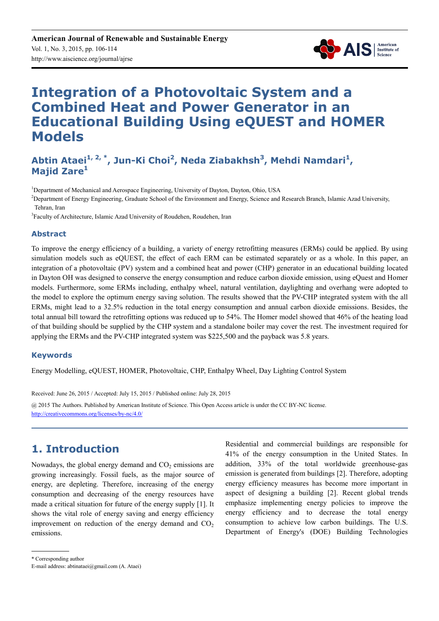

# **Integration of a Photovoltaic System and a Combined Heat and Power Generator in an Educational Building Using eQUEST and HOMER Models**

### **Abtin Ataei1, 2, \*, Jun-Ki Choi<sup>2</sup> , Neda Ziabakhsh<sup>3</sup> , Mehdi Namdari<sup>1</sup> , Majid Zare<sup>1</sup>**

<sup>1</sup>Department of Mechanical and Aerospace Engineering, University of Dayton, Dayton, Ohio, USA

<sup>2</sup>Department of Energy Engineering, Graduate School of the Environment and Energy, Science and Research Branch, Islamic Azad University, Tehran, Iran

<sup>3</sup>Faculty of Architecture, Islamic Azad University of Roudehen, Roudehen, Iran

#### **Abstract**

To improve the energy efficiency of a building, a variety of energy retrofitting measures (ERMs) could be applied. By using simulation models such as eQUEST, the effect of each ERM can be estimated separately or as a whole. In this paper, an integration of a photovoltaic (PV) system and a combined heat and power (CHP) generator in an educational building located in Dayton OH was designed to conserve the energy consumption and reduce carbon dioxide emission, using eQuest and Homer models. Furthermore, some ERMs including, enthalpy wheel, natural ventilation, daylighting and overhang were adopted to the model to explore the optimum energy saving solution. The results showed that the PV-CHP integrated system with the all ERMs, might lead to a 32.5% reduction in the total energy consumption and annual carbon dioxide emissions. Besides, the total annual bill toward the retrofitting options was reduced up to 54%. The Homer model showed that 46% of the heating load of that building should be supplied by the CHP system and a standalone boiler may cover the rest. The investment required for applying the ERMs and the PV-CHP integrated system was \$225,500 and the payback was 5.8 years.

#### **Keywords**

Energy Modelling, eQUEST, HOMER, Photovoltaic, CHP, Enthalpy Wheel, Day Lighting Control System

Received: June 26, 2015 / Accepted: July 15, 2015 / Published online: July 28, 2015 @ 2015 The Authors. Published by American Institute of Science. This Open Access article is under the CC BY-NC license. http://creativecommons.org/licenses/by-nc/4.0/

### **1. Introduction**

Nowadays, the global energy demand and  $CO<sub>2</sub>$  emissions are growing increasingly. Fossil fuels, as the major source of energy, are depleting. Therefore, increasing of the energy consumption and decreasing of the energy resources have made a critical situation for future of the energy supply [1]. It shows the vital role of energy saving and energy efficiency improvement on reduction of the energy demand and  $CO<sub>2</sub>$ emissions.

Residential and commercial buildings are responsible for 41% of the energy consumption in the United States. In addition, 33% of the total worldwide greenhouse-gas emission is generated from buildings [2]. Therefore, adopting energy efficiency measures has become more important in aspect of designing a building [2]. Recent global trends emphasize implementing energy policies to improve the energy efficiency and to decrease the total energy consumption to achieve low carbon buildings. The U.S. Department of Energy's (DOE) Building Technologies

<sup>\*</sup> Corresponding author

E-mail address: abtinataei@gmail.com (A. Ataei)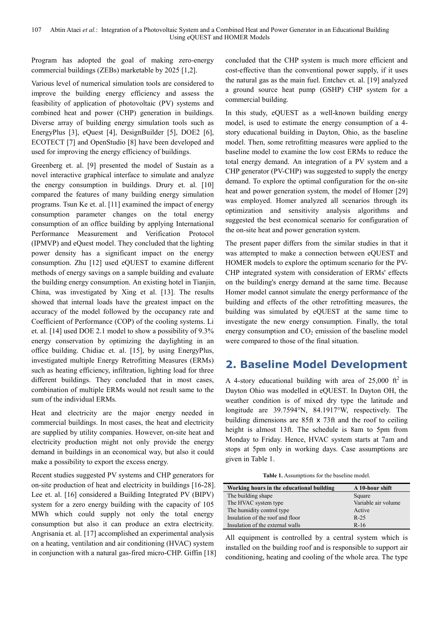Program has adopted the goal of making zero-energy commercial buildings (ZEBs) marketable by 2025 [1,2].

Various level of numerical simulation tools are considered to improve the building energy efficiency and assess the feasibility of application of photovoltaic (PV) systems and combined heat and power (CHP) generation in buildings. Diverse array of building energy simulation tools such as EnergyPlus [3], eQuest [4], DesignBuilder [5], DOE2 [6], ECOTECT [7] and OpenStudio [8] have been developed and used for improving the energy efficiency of buildings.

Greenberg et. al. [9] presented the model of Sustain as a novel interactive graphical interface to simulate and analyze the energy consumption in buildings. Drury et. al. [10] compared the features of many building energy simulation programs. Tsun Ke et. al. [11] examined the impact of energy consumption parameter changes on the total energy consumption of an office building by applying International Performance Measurement and Verification Protocol (IPMVP) and eQuest model. They concluded that the lighting power density has a significant impact on the energy consumption. Zhu [12] used eQUEST to examine different methods of energy savings on a sample building and evaluate the building energy consumption. An existing hotel in Tianjin, China, was investigated by Xing et al. [13]. The results showed that internal loads have the greatest impact on the accuracy of the model followed by the occupancy rate and Coefficient of Performance (COP) of the cooling systems. Li et. al. [14] used DOE 2.1 model to show a possibility of 9.3% energy conservation by optimizing the daylighting in an office building. Chidiac et. al. [15], by using EnergyPlus, investigated multiple Energy Retrofitting Measures (ERMs) such as heating efficiency, infiltration, lighting load for three different buildings. They concluded that in most cases, combination of multiple ERMs would not result same to the sum of the individual ERMs.

Heat and electricity are the major energy needed in commercial buildings. In most cases, the heat and electricity are supplied by utility companies. However, on-site heat and electricity production might not only provide the energy demand in buildings in an economical way, but also it could make a possibility to export the excess energy.

Recent studies suggested PV systems and CHP generators for on-site production of heat and electricity in buildings [16-28]. Lee et. al. [16] considered a Building Integrated PV (BIPV) system for a zero energy building with the capacity of 105 MWh which could supply not only the total energy consumption but also it can produce an extra electricity. Angrisania et. al. [17] accomplished an experimental analysis on a heating, ventilation and air conditioning (HVAC) system in conjunction with a natural gas-fired micro-CHP. Giffin [18] concluded that the CHP system is much more efficient and cost-effective than the conventional power supply, if it uses the natural gas as the main fuel. Entchev et. al. [19] analyzed a ground source heat pump (GSHP) CHP system for a commercial building.

In this study, eQUEST as a well-known building energy model, is used to estimate the energy consumption of a 4 story educational building in Dayton, Ohio, as the baseline model. Then, some retrofitting measures were applied to the baseline model to examine the low cost ERMs to reduce the total energy demand. An integration of a PV system and a CHP generator (PV-CHP) was suggested to supply the energy demand. To explore the optimal configuration for the on-site heat and power generation system, the model of Homer [29] was employed. Homer analyzed all scenarios through its optimization and sensitivity analysis algorithms and suggested the best economical scenario for configuration of the on-site heat and power generation system.

The present paper differs from the similar studies in that it was attempted to make a connection between eQUEST and HOMER models to explore the optimum scenario for the PV-CHP integrated system with consideration of ERMs' effects on the building's energy demand at the same time. Because Homer model cannot simulate the energy performance of the building and effects of the other retrofitting measures, the building was simulated by eQUEST at the same time to investigate the new energy consumption. Finally, the total energy consumption and  $CO<sub>2</sub>$  emission of the baseline model were compared to those of the final situation.

# **2. Baseline Model Development**

A 4-story educational building with area of  $25,000$  ft<sup>2</sup> in Dayton Ohio was modelled in eQUEST. In Dayton OH, the weather condition is of mixed dry type the latitude and longitude are 39.7594°N, 84.1917°W, respectively. The building dimensions are 85ft x 73ft and the roof to ceiling height is almost 13ft. The schedule is 8am to 5pm from Monday to Friday. Hence, HVAC system starts at 7am and stops at 5pm only in working days. Case assumptions are given in Table 1.

**Table 1.** Assumptions for the baseline model.

| Working hours in the educational building | A 10-hour shift     |
|-------------------------------------------|---------------------|
| The building shape                        | Square              |
| The HVAC system type                      | Variable air volume |
| The humidity control type                 | Active              |
| Insulation of the roof and floor          | $R-25$              |
| Insulation of the external walls          | $R-16$              |

All equipment is controlled by a central system which is installed on the building roof and is responsible to support air conditioning, heating and cooling of the whole area. The type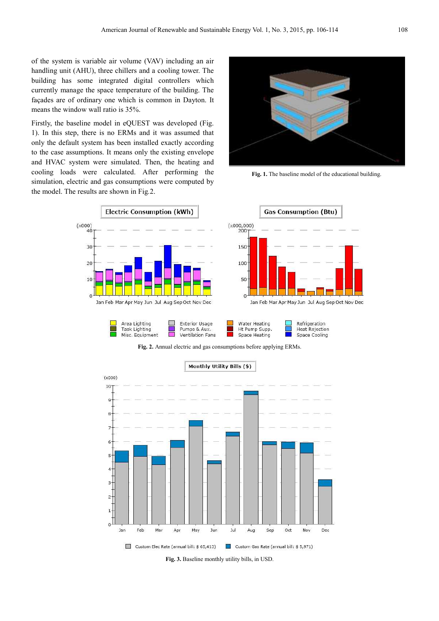of the system is variable air volume (VAV) including an air handling unit (AHU), three chillers and a cooling tower. The building has some integrated digital controllers which currently manage the space temperature of the building. The façades are of ordinary one which is common in Dayton. It means the window wall ratio is 35%.

Firstly, the baseline model in eQUEST was developed (Fig. 1). In this step, there is no ERMs and it was assumed that only the default system has been installed exactly according to the case assumptions. It means only the existing envelope and HVAC system were simulated. Then, the heating and cooling loads were calculated. After performing the simulation, electric and gas consumptions were computed by the model. The results are shown in Fig*.*2.



**Fig. 1.** The baseline model of the educational building.



**Fig. 2.** Annual electric and gas consumptions before applying ERMs.



**Fig. 3.** Baseline monthly utility bills, in USD.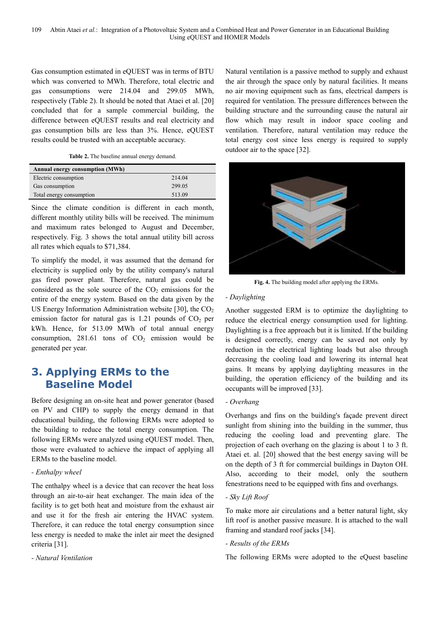Gas consumption estimated in eQUEST was in terms of BTU which was converted to MWh. Therefore, total electric and gas consumptions were 214.04 and 299.05 MWh, respectively (Table 2). It should be noted that Ataei et al. [20] concluded that for a sample commercial building, the difference between eQUEST results and real electricity and gas consumption bills are less than 3%. Hence, eQUEST results could be trusted with an acceptable accuracy.

**Table 2.** The baseline annual energy demand.

| <b>Annual energy consumption (MWh)</b> |        |
|----------------------------------------|--------|
| Electric consumption                   | 214.04 |
| Gas consumption                        | 299.05 |
| Total energy consumption               | 513.09 |

Since the climate condition is different in each month, different monthly utility bills will be received. The minimum and maximum rates belonged to August and December, respectively. Fig. 3 shows the total annual utility bill across all rates which equals to \$71,384.

To simplify the model, it was assumed that the demand for electricity is supplied only by the utility company's natural gas fired power plant. Therefore, natural gas could be considered as the sole source of the  $CO<sub>2</sub>$  emissions for the entire of the energy system. Based on the data given by the US Energy Information Administration website [30], the  $CO<sub>2</sub>$ emission factor for natural gas is 1.21 pounds of  $CO<sub>2</sub>$  per kWh. Hence, for 513.09 MWh of total annual energy consumption,  $281.61$  tons of  $CO<sub>2</sub>$  emission would be generated per year.

## **3. Applying ERMs to the Baseline Model**

Before designing an on-site heat and power generator (based on PV and CHP) to supply the energy demand in that educational building, the following ERMs were adopted to the building to reduce the total energy consumption. The following ERMs were analyzed using eQUEST model. Then, those were evaluated to achieve the impact of applying all ERMs to the baseline model.

#### *- Enthalpy wheel*

The enthalpy wheel is a device that can recover the heat loss through an air-to-air heat exchanger. The main idea of the facility is to get both heat and moisture from the exhaust air and use it for the fresh air entering the HVAC system. Therefore, it can reduce the total energy consumption since less energy is needed to make the inlet air meet the designed criteria [31].

*- Natural Ventilation* 

Natural ventilation is a passive method to supply and exhaust the air through the space only by natural facilities. It means no air moving equipment such as fans, electrical dampers is required for ventilation. The pressure differences between the building structure and the surrounding cause the natural air flow which may result in indoor space cooling and ventilation. Therefore, natural ventilation may reduce the total energy cost since less energy is required to supply outdoor air to the space [32].



**Fig. 4.** The building model after applying the ERMs.

#### *- Daylighting*

Another suggested ERM is to optimize the daylighting to reduce the electrical energy consumption used for lighting. Daylighting is a free approach but it is limited. If the building is designed correctly, energy can be saved not only by reduction in the electrical lighting loads but also through decreasing the cooling load and lowering its internal heat gains. It means by applying daylighting measures in the building, the operation efficiency of the building and its occupants will be improved [33].

#### *- Overhang*

Overhangs and fins on the building's façade prevent direct sunlight from shining into the building in the summer, thus reducing the cooling load and preventing glare. The projection of each overhang on the glazing is about 1 to 3 ft. Ataei et. al. [20] showed that the best energy saving will be on the depth of 3 ft for commercial buildings in Dayton OH. Also, according to their model, only the southern fenestrations need to be equipped with fins and overhangs.

#### *- Sky Lift Roof*

To make more air circulations and a better natural light, sky lift roof is another passive measure. It is attached to the wall framing and standard roof jacks [34].

#### *- Results of the ERMs*

The following ERMs were adopted to the eQuest baseline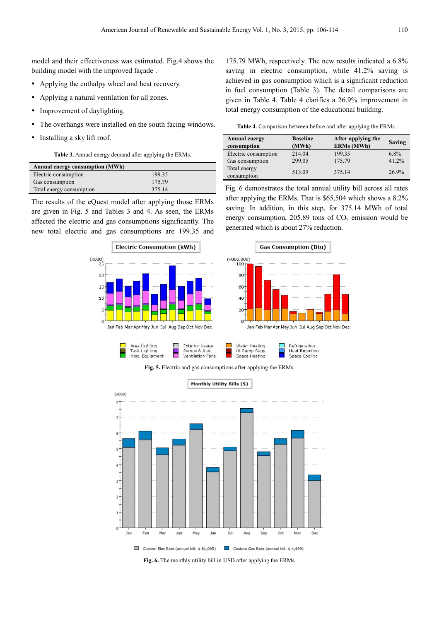model and their effectiveness was estimated. Fig.4 shows the building model with the improved façade .

- Applying the enthalpy wheel and heat recovery.
- Applying a natural ventilation for all zones.
- Improvement of daylighting.
- The overhangs were installed on the south facing windows.
- Installing a sky lift roof.

**Table 3.** Annual energy demand after applying the ERMs.

| <b>Annual energy consumption (MWh)</b> |        |
|----------------------------------------|--------|
| Electric consumption                   | 199.35 |
| Gas consumption                        | 175.79 |
| Total energy consumption               | 375.14 |

The results of the eQuest model after applying those ERMs are given in Fig. 5 and Tables 3 and 4. As seen, the ERMs affected the electric and gas consumptions significantly. The new total electric and gas consumptions are 199.35 and



175.79 MWh, respectively. The new results indicated a 6.8% saving in electric consumption, while 41.2% saving is achieved in gas consumption which is a significant reduction in fuel consumption (Table 3). The detail comparisons are given in Table 4. Table 4 clarifies a 26.9% improvement in total energy consumption of the educational building.

**Table 4.** Comparison between before and after applying the ERMs.

| <b>Annual energy</b><br>consumption | <b>Baseline</b><br>(MWh) | After applying the<br><b>ERMs (MWh)</b> | <b>Saving</b> |
|-------------------------------------|--------------------------|-----------------------------------------|---------------|
| Electric consumption                | 214.04                   | 199.35                                  | $6.8\%$       |
| Gas consumption                     | 299.05                   | 175.79                                  | 41.2%         |
| Total energy<br>consumption         | 513.09                   | 375.14                                  | 26.9%         |

Fig. 6 demonstrates the total annual utility bill across all rates after applying the ERMs. That is \$65,504 which shows a 8.2% saving. In addition, in this step, for 375.14 MWh of total energy consumption,  $205.89$  tons of  $CO<sub>2</sub>$  emission would be generated which is about 27% reduction.





**Fig. 5.** Electric and gas consumptions after applying the ERMs.



**Fig. 6.** The monthly utility bill in USD after applying the ERMs.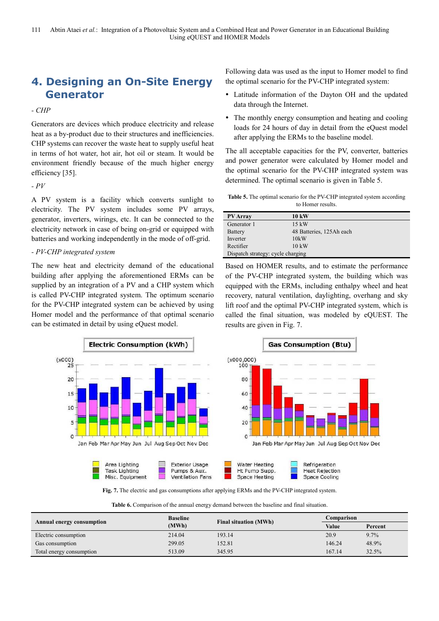# **4. Designing an On-Site Energy Generator**

*- CHP* 

Generators are devices which produce electricity and release heat as a by-product due to their structures and inefficiencies. CHP systems can recover the waste heat to supply useful heat in terms of hot water, hot air, hot oil or steam. It would be environment friendly because of the much higher energy efficiency [35].

*- PV* 

A PV system is a facility which converts sunlight to electricity. The PV system includes some PV arrays, generator, inverters, wirings, etc. It can be connected to the electricity network in case of being on-grid or equipped with batteries and working independently in the mode of off-grid.

#### *- PV-CHP integrated system*

The new heat and electricity demand of the educational building after applying the aforementioned ERMs can be supplied by an integration of a PV and a CHP system which is called PV-CHP integrated system. The optimum scenario for the PV-CHP integrated system can be achieved by using Homer model and the performance of that optimal scenario can be estimated in detail by using eQuest model.



- Latitude information of the Dayton OH and the updated data through the Internet.
- The monthly energy consumption and heating and cooling loads for 24 hours of day in detail from the eQuest model after applying the ERMs to the baseline model.

The all acceptable capacities for the PV, converter, batteries and power generator were calculated by Homer model and the optimal scenario for the PV-CHP integrated system was determined. The optimal scenario is given in Table 5.

| <b>Table 5.</b> The optimal scenario for the PV-CHP integrated system according |
|---------------------------------------------------------------------------------|
| to Homer results.                                                               |

| <b>PV</b> Array                   | <b>10 kW</b>             |  |  |
|-----------------------------------|--------------------------|--|--|
| Generator 1                       | $15 \text{ kW}$          |  |  |
| <b>Battery</b>                    | 48 Batteries, 125Ah each |  |  |
| Inverter                          | 10kW                     |  |  |
| Rectifier                         | $10 \text{ kW}$          |  |  |
| Dispatch strategy: cycle charging |                          |  |  |

Based on HOMER results, and to estimate the performance of the PV-CHP integrated system, the building which was equipped with the ERMs, including enthalpy wheel and heat recovery, natural ventilation, daylighting, overhang and sky lift roof and the optimal PV-CHP integrated system, which is called the final situation, was modeled by eQUEST. The results are given in Fig. 7.



**Fig. 7.** The electric and gas consumptions after applying ERMs and the PV-CHP integrated system.

**Table 6.** Comparison of the annual energy demand between the baseline and final situation.

|                           | <b>Baseline</b> | <b>Final situation (MWh)</b> | Comparison |         |
|---------------------------|-----------------|------------------------------|------------|---------|
| Annual energy consumption | (MWh)           |                              | Value      | Percent |
| Electric consumption      | 214.04          | 193.14                       | 20.9       | 9.7%    |
| Gas consumption           | 299.05          | 152.81                       | 146.24     | 48.9%   |
| Total energy consumption  | 513.09          | 345.95                       | 167.14     | 32.5%   |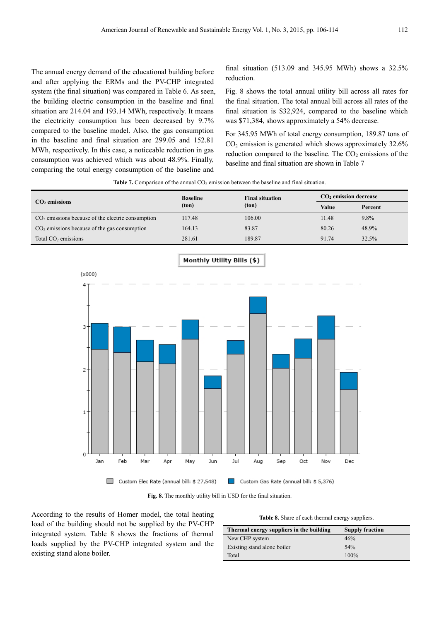The annual energy demand of the educational building before and after applying the ERMs and the PV-CHP integrated system (the final situation) was compared in Table 6. As seen, the building electric consumption in the baseline and final situation are 214.04 and 193.14 MWh, respectively. It means the electricity consumption has been decreased by 9.7% compared to the baseline model. Also, the gas consumption in the baseline and final situation are 299.05 and 152.81 MWh, respectively. In this case, a noticeable reduction in gas consumption was achieved which was about 48.9%. Finally, comparing the total energy consumption of the baseline and

final situation (513.09 and 345.95 MWh) shows a 32.5% reduction.

Fig. 8 shows the total annual utility bill across all rates for the final situation. The total annual bill across all rates of the final situation is \$32,924, compared to the baseline which was \$71,384, shows approximately a 54% decrease.

For 345.95 MWh of total energy consumption, 189.87 tons of  $CO<sub>2</sub>$  emission is generated which shows approximately 32.6% reduction compared to the baseline. The  $CO<sub>2</sub>$  emissions of the baseline and final situation are shown in Table 7

**Table 7.** Comparison of the annual  $CO<sub>2</sub>$  emission between the baseline and final situation.

|                                                     | <b>Baseline</b> | <b>Final situation</b> | $CO2$ emission decrease |         |
|-----------------------------------------------------|-----------------|------------------------|-------------------------|---------|
| $CO2$ emissions                                     | (ton)           | (ton)                  | Value                   | Percent |
| $CO2$ emissions because of the electric consumption | 117.48          | 106.00                 | 11.48                   | 9.8%    |
| $CO2$ emissions because of the gas consumption      | 164.13          | 83.87                  | 80.26                   | 48.9%   |
| Total $CO2$ emissions                               | 281.61          | 189.87                 | 91.74                   | 32.5%   |



**Fig. 8.** The monthly utility bill in USD for the final situation.

According to the results of Homer model, the total heating load of the building should not be supplied by the PV-CHP integrated system. Table 8 shows the fractions of thermal loads supplied by the PV-CHP integrated system and the existing stand alone boiler.

|  |  |  |  |  |  | Table 8. Share of each thermal energy suppliers. |
|--|--|--|--|--|--|--------------------------------------------------|
|--|--|--|--|--|--|--------------------------------------------------|

| Thermal energy suppliers in the building | <b>Supply fraction</b> |
|------------------------------------------|------------------------|
| New CHP system                           | 46%                    |
| Existing stand alone boiler              | 54%                    |
| Total                                    | $100\%$                |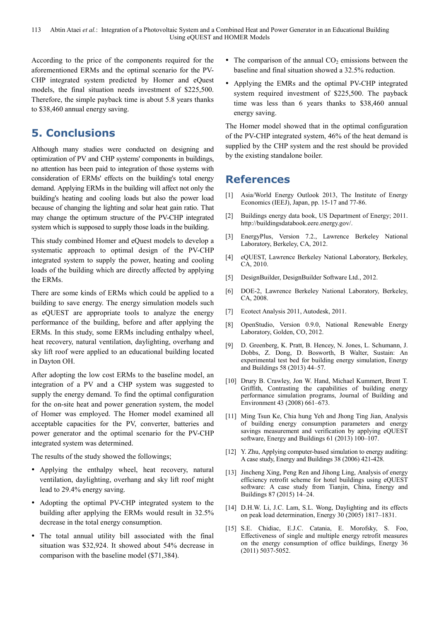According to the price of the components required for the aforementioned ERMs and the optimal scenario for the PV-CHP integrated system predicted by Homer and eQuest models, the final situation needs investment of \$225,500. Therefore, the simple payback time is about 5.8 years thanks to \$38,460 annual energy saving.

# **5. Conclusions**

Although many studies were conducted on designing and optimization of PV and CHP systems' components in buildings, no attention has been paid to integration of those systems with consideration of ERMs' effects on the building's total energy demand. Applying ERMs in the building will affect not only the building's heating and cooling loads but also the power load because of changing the lighting and solar heat gain ratio. That may change the optimum structure of the PV-CHP integrated system which is supposed to supply those loads in the building.

This study combined Homer and eQuest models to develop a systematic approach to optimal design of the PV-CHP integrated system to supply the power, heating and cooling loads of the building which are directly affected by applying the ERMs.

There are some kinds of ERMs which could be applied to a building to save energy. The energy simulation models such as eQUEST are appropriate tools to analyze the energy performance of the building, before and after applying the ERMs. In this study, some ERMs including enthalpy wheel, heat recovery, natural ventilation, daylighting, overhang and sky lift roof were applied to an educational building located in Dayton OH.

After adopting the low cost ERMs to the baseline model, an integration of a PV and a CHP system was suggested to supply the energy demand. To find the optimal configuration for the on-site heat and power generation system, the model of Homer was employed. The Homer model examined all acceptable capacities for the PV, converter, batteries and power generator and the optimal scenario for the PV-CHP integrated system was determined.

The results of the study showed the followings;

- Applying the enthalpy wheel, heat recovery, natural ventilation, daylighting, overhang and sky lift roof might lead to 29.4% energy saving.
- Adopting the optimal PV-CHP integrated system to the building after applying the ERMs would result in 32.5% decrease in the total energy consumption.
- The total annual utility bill associated with the final situation was \$32,924. It showed about 54% decrease in comparison with the baseline model (\$71,384).
- The comparison of the annual  $CO<sub>2</sub>$  emissions between the baseline and final situation showed a 32.5% reduction.
- Applying the EMRs and the optimal PV-CHP integrated system required investment of \$225,500. The payback time was less than 6 years thanks to \$38,460 annual energy saving.

The Homer model showed that in the optimal configuration of the PV-CHP integrated system, 46% of the heat demand is supplied by the CHP system and the rest should be provided by the existing standalone boiler.

### **References**

- [1] Asia/World Energy Outlook 2013, The Institute of Energy Economics (IEEJ), Japan, pp. 15-17 and 77-86.
- [2] Buildings energy data book, US Department of Energy; 2011. http://buildingsdatabook.eere.energy.gov/.
- [3] EnergyPlus, Version 7.2., Lawrence Berkeley National Laboratory, Berkeley, CA, 2012.
- [4] eQUEST, Lawrence Berkeley National Laboratory, Berkeley, CA, 2010.
- [5] DesignBuilder, DesignBuilder Software Ltd., 2012.
- [6] DOE-2, Lawrence Berkeley National Laboratory, Berkeley, CA, 2008.
- [7] Ecotect Analysis 2011, Autodesk, 2011.
- [8] OpenStudio, Version 0.9.0, National Renewable Energy Laboratory, Golden, CO, 2012.
- [9] D. Greenberg, K. Pratt, B. Hencey, N. Jones, L. Schumann, J. Dobbs, Z. Dong, D. Bosworth, B Walter, Sustain: An experimental test bed for building energy simulation, Energy and Buildings 58 (2013) 44–57.
- [10] Drury B. Crawley, Jon W. Hand, Michael Kummert, Brent T. Griffith, Contrasting the capabilities of building energy performance simulation programs, Journal of Building and Environment 43 (2008) 661–673.
- [11] Ming Tsun Ke, Chia hung Yeh and Jhong Ting Jian, Analysis of building energy consumption parameters and energy savings measurement and verification by applying eQUEST software, Energy and Buildings 61 (2013) 100–107.
- [12] Y. Zhu, Applying computer-based simulation to energy auditing: A case study, Energy and Buildings 38 (2006) 421-428.
- [13] Jincheng Xing, Peng Ren and Jihong Ling, Analysis of energy efficiency retrofit scheme for hotel buildings using eQUEST software: A case study from Tianjin, China, Energy and Buildings 87 (2015) 14–24.
- [14] D.H.W. Li, J.C. Lam, S.L. Wong, Daylighting and its effects on peak load determination, Energy 30 (2005) 1817–1831.
- [15] S.E. Chidiac, E.J.C. Catania, E. Morofsky, S. Foo, Effectiveness of single and multiple energy retrofit measures on the energy consumption of office buildings, Energy 36 (2011) 5037-5052.